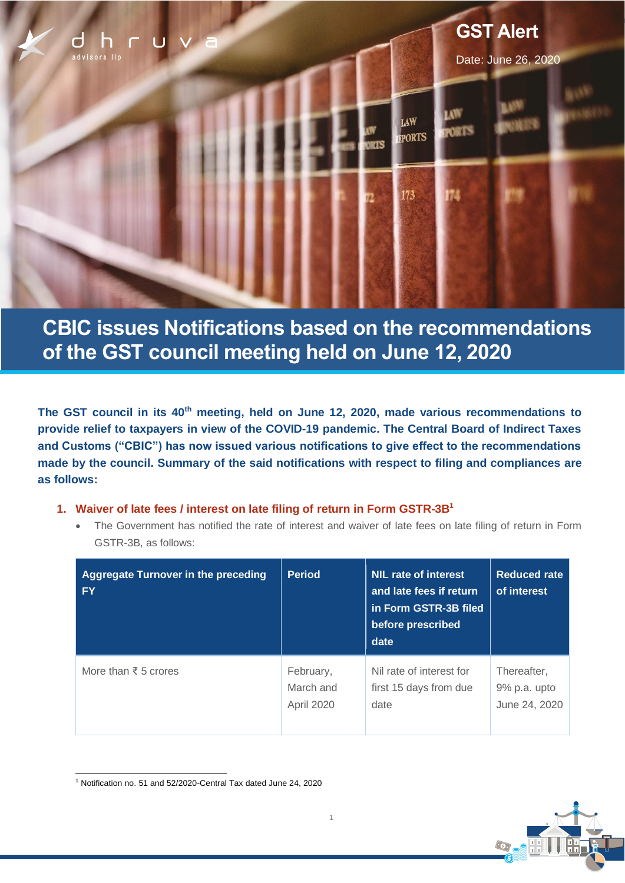

# **CBIC issues Notifications based on the recommendations of the GST council meeting held on June 12, 2020**

**The GST council in its 40th meeting, held on June 12, 2020, made various recommendations to provide relief to taxpayers in view of the COVID-19 pandemic. The Central Board of Indirect Taxes and Customs ("CBIC") has now issued various notifications to give effect to the recommendations made by the council. Summary of the said notifications with respect to filing and compliances are as follows:**

- **1. Waiver of late fees / interest on late filing of return in Form GSTR-3B<sup>1</sup>**
	- The Government has notified the rate of interest and waiver of late fees on late filing of return in Form GSTR-3B, as follows:

| <b>Aggregate Turnover in the preceding</b><br><b>FY</b> | <b>Period</b> | NIL rate of interest<br>and late fees if return<br>in Form GSTR-3B filed<br>before prescribed<br>date | <b>Reduced rate</b><br>of interest |
|---------------------------------------------------------|---------------|-------------------------------------------------------------------------------------------------------|------------------------------------|
| More than $\bar{\xi}$ 5 crores                          | February,     | Nil rate of interest for                                                                              | Thereafter.                        |
|                                                         | March and     | first 15 days from due                                                                                | 9% p.a. upto                       |
|                                                         | April 2020    | date                                                                                                  | June 24, 2020                      |

1



<sup>1</sup> Notification no. 51 and 52/2020-Central Tax dated June 24, 2020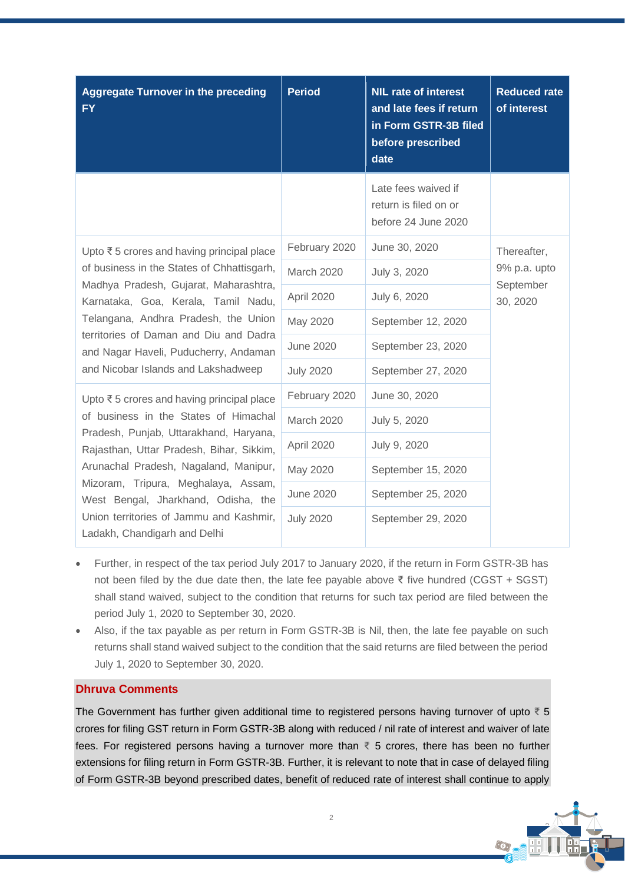| <b>Aggregate Turnover in the preceding</b><br><b>FY</b>                                                                                                                                                                                                                                                                                                                    | <b>Period</b>    | <b>NIL rate of interest</b><br>and late fees if return<br>in Form GSTR-3B filed<br>before prescribed<br>date | <b>Reduced rate</b><br>of interest                   |
|----------------------------------------------------------------------------------------------------------------------------------------------------------------------------------------------------------------------------------------------------------------------------------------------------------------------------------------------------------------------------|------------------|--------------------------------------------------------------------------------------------------------------|------------------------------------------------------|
|                                                                                                                                                                                                                                                                                                                                                                            |                  | Late fees waived if<br>return is filed on or<br>before 24 June 2020                                          |                                                      |
| Upto ₹5 crores and having principal place<br>of business in the States of Chhattisgarh,<br>Madhya Pradesh, Gujarat, Maharashtra,<br>Karnataka, Goa, Kerala, Tamil Nadu,<br>Telangana, Andhra Pradesh, the Union<br>territories of Daman and Diu and Dadra<br>and Nagar Haveli, Puducherry, Andaman<br>and Nicobar Islands and Lakshadweep                                  | February 2020    | June 30, 2020                                                                                                | Thereafter,<br>9% p.a. upto<br>September<br>30, 2020 |
|                                                                                                                                                                                                                                                                                                                                                                            | March 2020       | July 3, 2020                                                                                                 |                                                      |
|                                                                                                                                                                                                                                                                                                                                                                            | April 2020       | July 6, 2020                                                                                                 |                                                      |
|                                                                                                                                                                                                                                                                                                                                                                            | May 2020         | September 12, 2020                                                                                           |                                                      |
|                                                                                                                                                                                                                                                                                                                                                                            | <b>June 2020</b> | September 23, 2020                                                                                           |                                                      |
|                                                                                                                                                                                                                                                                                                                                                                            | <b>July 2020</b> | September 27, 2020                                                                                           |                                                      |
| Upto ₹5 crores and having principal place<br>of business in the States of Himachal<br>Pradesh, Punjab, Uttarakhand, Haryana,<br>Rajasthan, Uttar Pradesh, Bihar, Sikkim,<br>Arunachal Pradesh, Nagaland, Manipur,<br>Mizoram, Tripura, Meghalaya, Assam,<br>West Bengal, Jharkhand, Odisha, the<br>Union territories of Jammu and Kashmir,<br>Ladakh, Chandigarh and Delhi | February 2020    | June 30, 2020                                                                                                |                                                      |
|                                                                                                                                                                                                                                                                                                                                                                            | March 2020       | July 5, 2020                                                                                                 |                                                      |
|                                                                                                                                                                                                                                                                                                                                                                            | April 2020       | July 9, 2020                                                                                                 |                                                      |
|                                                                                                                                                                                                                                                                                                                                                                            | May 2020         | September 15, 2020                                                                                           |                                                      |
|                                                                                                                                                                                                                                                                                                                                                                            | <b>June 2020</b> | September 25, 2020                                                                                           |                                                      |
|                                                                                                                                                                                                                                                                                                                                                                            | <b>July 2020</b> | September 29, 2020                                                                                           |                                                      |

- Further, in respect of the tax period July 2017 to January 2020, if the return in Form GSTR-3B has not been filed by the due date then, the late fee payable above ₹ five hundred (CGST + SGST) shall stand waived, subject to the condition that returns for such tax period are filed between the period July 1, 2020 to September 30, 2020.
- Also, if the tax payable as per return in Form GSTR-3B is Nil, then, the late fee payable on such returns shall stand waived subject to the condition that the said returns are filed between the period July 1, 2020 to September 30, 2020.

# **Dhruva Comments**

The Government has further given additional time to registered persons having turnover of upto  $\bar{z}$  5 crores for filing GST return in Form GSTR-3B along with reduced / nil rate of interest and waiver of late fees. For registered persons having a turnover more than  $\bar{\tau}$  5 crores, there has been no further extensions for filing return in Form GSTR-3B. Further, it is relevant to note that in case of delayed filing of Form GSTR-3B beyond prescribed dates, benefit of reduced rate of interest shall continue to apply

2

2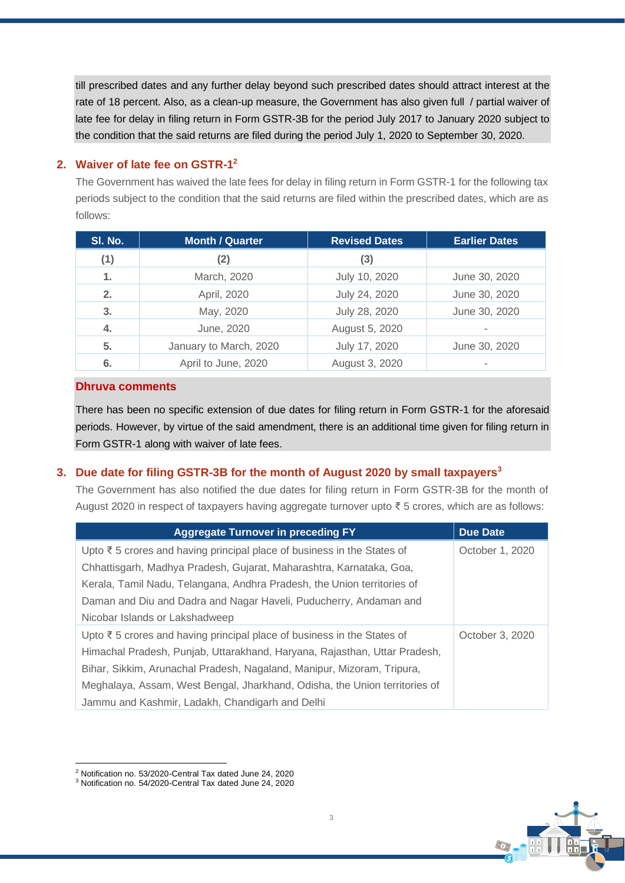till prescribed dates and any further delay beyond such prescribed dates should attract interest at the rate of 18 percent. Also, as a clean-up measure, the Government has also given full / partial waiver of late fee for delay in filing return in Form GSTR-3B for the period July 2017 to January 2020 subject to the condition that the said returns are filed during the period July 1, 2020 to September 30, 2020.

# **2. Waiver of late fee on GSTR-1 2**

The Government has waived the late fees for delay in filing return in Form GSTR-1 for the following tax periods subject to the condition that the said returns are filed within the prescribed dates, which are as follows:

| SI. No. | <b>Month / Quarter</b> | <b>Revised Dates</b> | <b>Earlier Dates</b> |
|---------|------------------------|----------------------|----------------------|
| (1)     | (2)                    | (3)                  |                      |
| 1.      | March, 2020            | July 10, 2020        | June 30, 2020        |
| 2.      | April, 2020            | July 24, 2020        | June 30, 2020        |
| 3.      | May, 2020              | July 28, 2020        | June 30, 2020        |
| 4.      | June, 2020             | August 5, 2020       |                      |
| 5.      | January to March, 2020 | July 17, 2020        | June 30, 2020        |
| 6.      | April to June, 2020    | August 3, 2020       | -                    |

# **Dhruva comments**

There has been no specific extension of due dates for filing return in Form GSTR-1 for the aforesaid periods. However, by virtue of the said amendment, there is an additional time given for filing return in Form GSTR-1 along with waiver of late fees.

# **3. Due date for filing GSTR-3B for the month of August 2020 by small taxpayers<sup>3</sup>**

The Government has also notified the due dates for filing return in Form GSTR-3B for the month of August 2020 in respect of taxpayers having aggregate turnover upto ₹ 5 crores, which are as follows:

| <b>Aggregate Turnover in preceding FY</b>                                   | <b>Due Date</b> |
|-----------------------------------------------------------------------------|-----------------|
| Upto $\xi$ 5 crores and having principal place of business in the States of | October 1, 2020 |
| Chhattisgarh, Madhya Pradesh, Gujarat, Maharashtra, Karnataka, Goa,         |                 |
| Kerala, Tamil Nadu, Telangana, Andhra Pradesh, the Union territories of     |                 |
| Daman and Diu and Dadra and Nagar Haveli, Puducherry, Andaman and           |                 |
| Nicobar Islands or Lakshadweep                                              |                 |
| Upto ₹ 5 crores and having principal place of business in the States of     | October 3, 2020 |
| Himachal Pradesh, Punjab, Uttarakhand, Haryana, Rajasthan, Uttar Pradesh,   |                 |
| Bihar, Sikkim, Arunachal Pradesh, Nagaland, Manipur, Mizoram, Tripura,      |                 |
| Meghalaya, Assam, West Bengal, Jharkhand, Odisha, the Union territories of  |                 |
| Jammu and Kashmir, Ladakh, Chandigarh and Delhi                             |                 |



<sup>2</sup> Notification no. 53/2020-Central Tax dated June 24, 2020

<sup>3</sup> Notification no. 54/2020-Central Tax dated June 24, 2020